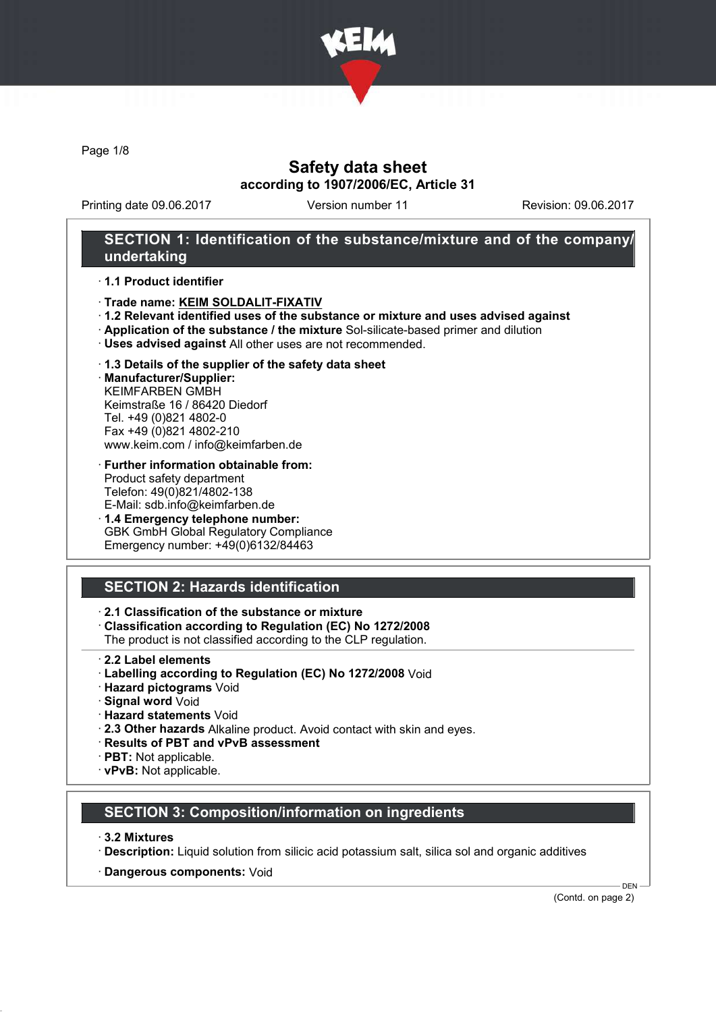

Page 1/8

## Safety data sheet according to 1907/2006/EC, Article 31

Printing date 09.06.2017 Version number 11 Revision: 09.06.2017

### SECTION 1: Identification of the substance/mixture and of the company/ undertaking

#### · 1.1 Product identifier

- · Trade name: KEIM SOLDALIT-FIXATIV
- · 1.2 Relevant identified uses of the substance or mixture and uses advised against
- · Application of the substance / the mixture Sol-silicate-based primer and dilution
- · Uses advised against All other uses are not recommended.

#### · 1.3 Details of the supplier of the safety data sheet

· Manufacturer/Supplier: KEIMFARBEN GMBH Keimstraße 16 / 86420 Diedorf Tel. +49 (0)821 4802-0 Fax +49 (0)821 4802-210 www.keim.com / info@keimfarben.de

- · Further information obtainable from: Product safety department Telefon: 49(0)821/4802-138 E-Mail: sdb.info@keimfarben.de
- · 1.4 Emergency telephone number: GBK GmbH Global Regulatory Compliance Emergency number: +49(0)6132/84463

## SECTION 2: Hazards identification

### · 2.1 Classification of the substance or mixture

· Classification according to Regulation (EC) No 1272/2008

The product is not classified according to the CLP regulation.

- 2.2 Label elements
- · Labelling according to Regulation (EC) No 1272/2008 Void
- · Hazard pictograms Void
- · Signal word Void
- · Hazard statements Void
- · 2.3 Other hazards Alkaline product. Avoid contact with skin and eyes.
- · Results of PBT and vPvB assessment
- · PBT: Not applicable.
- · vPvB: Not applicable.

#### SECTION 3: Composition/information on ingredients

- · 3.2 Mixtures
- · Description: Liquid solution from silicic acid potassium salt, silica sol and organic additives
- · Dangerous components: Void

(Contd. on page 2)

DEN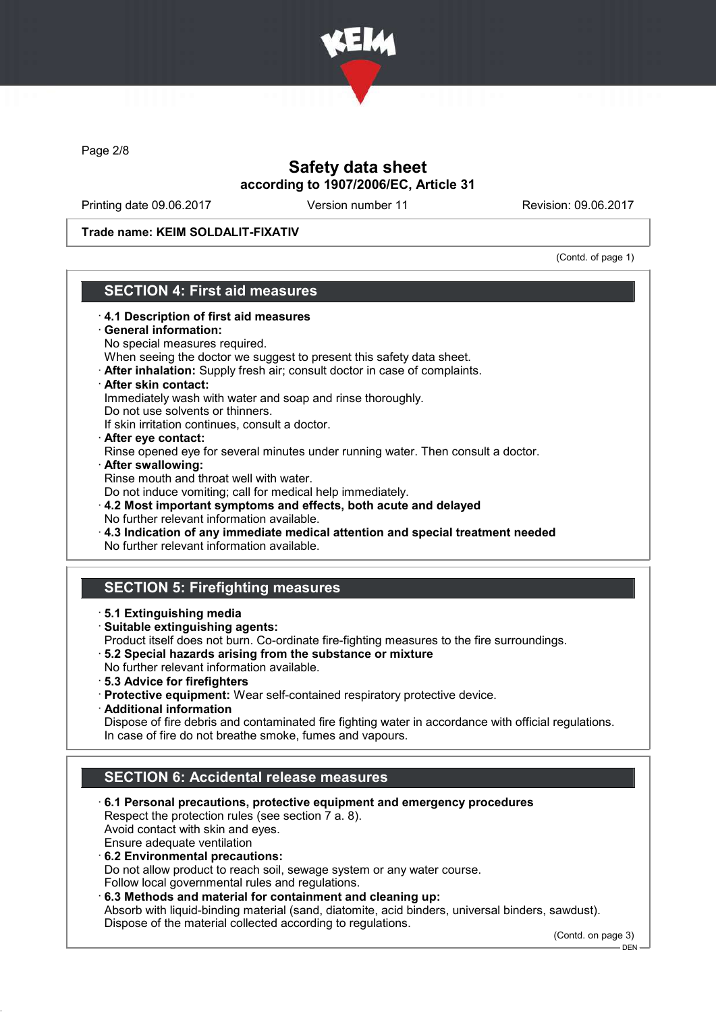

Page 2/8

# Safety data sheet according to 1907/2006/EC, Article 31

Printing date 09.06.2017 Version number 11 Revision: 09.06.2017

Trade name: KEIM SOLDALIT-FIXATIV

(Contd. of page 1)

# SECTION 4: First aid measures

- · 4.1 Description of first aid measures General information: No special measures required. When seeing the doctor we suggest to present this safety data sheet. · After inhalation: Supply fresh air; consult doctor in case of complaints. · After skin contact: Immediately wash with water and soap and rinse thoroughly. Do not use solvents or thinners. If skin irritation continues, consult a doctor. · After eye contact: Rinse opened eye for several minutes under running water. Then consult a doctor. · After swallowing: Rinse mouth and throat well with water. Do not induce vomiting; call for medical help immediately. · 4.2 Most important symptoms and effects, both acute and delayed No further relevant information available. · 4.3 Indication of any immediate medical attention and special treatment needed No further relevant information available. SECTION 5: Firefighting measures · 5.1 Extinguishing media · Suitable extinguishing agents: Product itself does not burn. Co-ordinate fire-fighting measures to the fire surroundings. · 5.2 Special hazards arising from the substance or mixture No further relevant information available. · 5.3 Advice for firefighters · Protective equipment: Wear self-contained respiratory protective device. · Additional information Dispose of fire debris and contaminated fire fighting water in accordance with official regulations. In case of fire do not breathe smoke, fumes and vapours. SECTION 6: Accidental release measures · 6.1 Personal precautions, protective equipment and emergency procedures Respect the protection rules (see section 7 a. 8). Avoid contact with skin and eyes. Ensure adequate ventilation · 6.2 Environmental precautions: Do not allow product to reach soil, sewage system or any water course. Follow local governmental rules and regulations.
	- · 6.3 Methods and material for containment and cleaning up: Absorb with liquid-binding material (sand, diatomite, acid binders, universal binders, sawdust). Dispose of the material collected according to regulations.

(Contd. on page 3)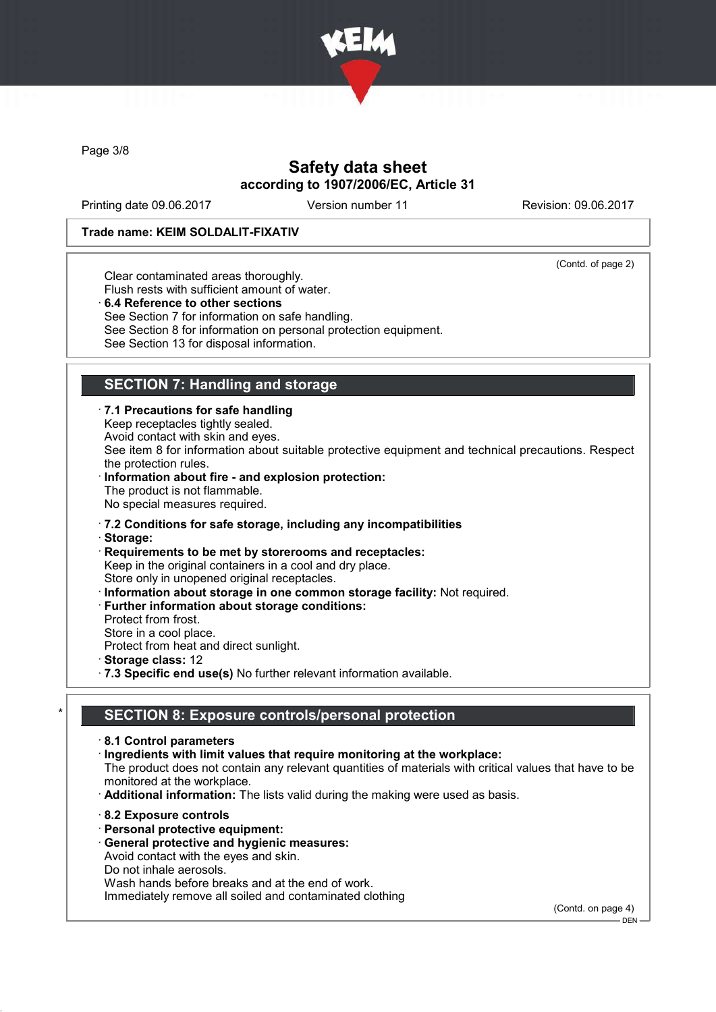

Page 3/8

# Safety data sheet according to 1907/2006/EC, Article 31

Printing date 09.06.2017 Version number 11 Revision: 09.06.2017

#### Trade name: KEIM SOLDALIT-FIXATIV

(Contd. of page 2)

Clear contaminated areas thoroughly.

Flush rests with sufficient amount of water.

· 6.4 Reference to other sections

See Section 7 for information on safe handling.

- See Section 8 for information on personal protection equipment.
- See Section 13 for disposal information.

# SECTION 7: Handling and storage

· 7.1 Precautions for safe handling Keep receptacles tightly sealed. Avoid contact with skin and eyes. See item 8 for information about suitable protective equipment and technical precautions. Respect the protection rules. Information about fire - and explosion protection: The product is not flammable. No special measures required.

- · 7.2 Conditions for safe storage, including any incompatibilities
- · Storage:
- · Requirements to be met by storerooms and receptacles: Keep in the original containers in a cool and dry place. Store only in unopened original receptacles.
- · Information about storage in one common storage facility: Not required.
- · Further information about storage conditions:
- Protect from frost.
- Store in a cool place.
- Protect from heat and direct sunlight.
- · Storage class: 12
- · 7.3 Specific end use(s) No further relevant information available.

### SECTION 8: Exposure controls/personal protection

- · 8.1 Control parameters · Ingredients with limit values that require monitoring at the workplace: The product does not contain any relevant quantities of materials with critical values that have to be monitored at the workplace. · Additional information: The lists valid during the making were used as basis. · 8.2 Exposure controls · Personal protective equipment:
	- · General protective and hygienic measures: Avoid contact with the eyes and skin.
	- Do not inhale aerosols.
	-

Wash hands before breaks and at the end of work. Immediately remove all soiled and contaminated clothing

(Contd. on page 4)

DEN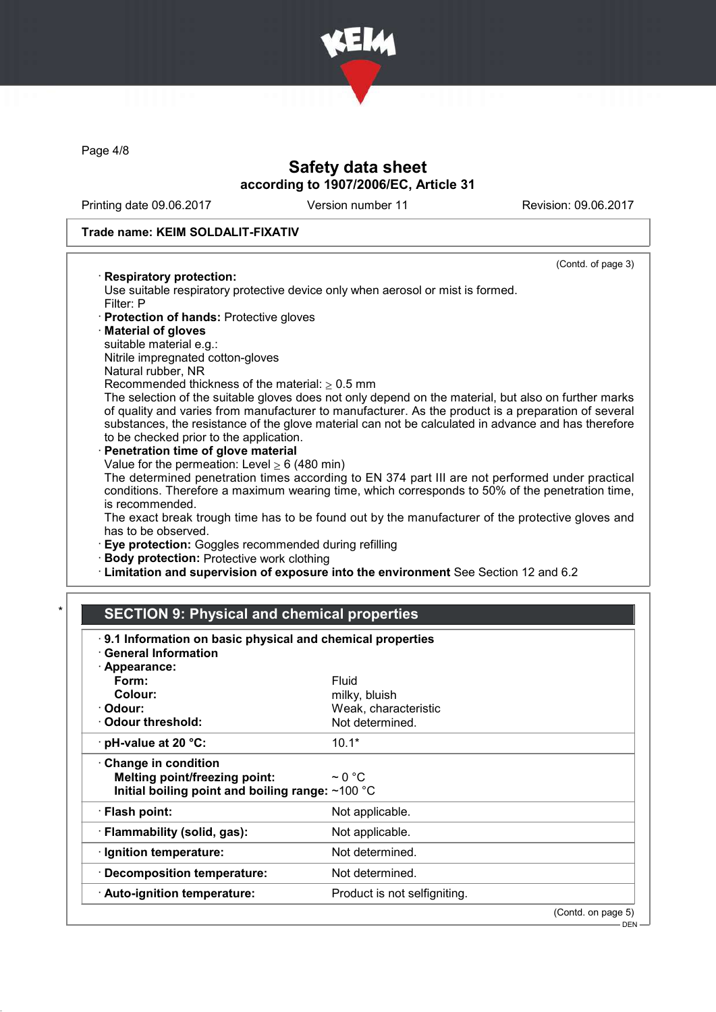

Page 4/8

## Safety data sheet according to 1907/2006/EC, Article 31

Printing date 09.06.2017 Version number 11 Revision: 09.06.2017

(Contd. of page 3)

#### Trade name: KEIM SOLDALIT-FIXATIV

#### · Respiratory protection:

Use suitable respiratory protective device only when aerosol or mist is formed. Filter: P

- · Protection of hands: Protective gloves
- · Material of gloves
- suitable material e.g.:
- Nitrile impregnated cotton-gloves
- Natural rubber, NR

Recommended thickness of the material:  $> 0.5$  mm

The selection of the suitable gloves does not only depend on the material, but also on further marks of quality and varies from manufacturer to manufacturer. As the product is a preparation of several substances, the resistance of the glove material can not be calculated in advance and has therefore to be checked prior to the application.

Penetration time of glove material Value for the permeation: Level  $\geq 6$  (480 min)

The determined penetration times according to EN 374 part III are not performed under practical conditions. Therefore a maximum wearing time, which corresponds to 50% of the penetration time, is recommended.

The exact break trough time has to be found out by the manufacturer of the protective gloves and has to be observed.

· Eye protection: Goggles recommended during refilling

- · Body protection: Protective work clothing
- · Limitation and supervision of exposure into the environment See Section 12 and 6.2

# **SECTION 9: Physical and chemical properties**

| 9.1 Information on basic physical and chemical properties<br><b>General Information</b>                                 |                              |                    |
|-------------------------------------------------------------------------------------------------------------------------|------------------------------|--------------------|
| · Appearance:                                                                                                           |                              |                    |
| Form:                                                                                                                   | Fluid                        |                    |
| Colour:                                                                                                                 | milky, bluish                |                    |
| · Odour:                                                                                                                | Weak, characteristic         |                    |
| $\cdot$ Odour threshold:                                                                                                | Not determined.              |                    |
| $\cdot$ pH-value at 20 °C:                                                                                              | $10.1*$                      |                    |
| $\cdot$ Change in condition<br><b>Melting point/freezing point:</b><br>Initial boiling point and boiling range: ~100 °C | $\sim$ 0 °C                  |                    |
| · Flash point:                                                                                                          | Not applicable.              |                    |
| · Flammability (solid, gas):                                                                                            | Not applicable.              |                    |
| · Ignition temperature:                                                                                                 | Not determined.              |                    |
| · Decomposition temperature:                                                                                            | Not determined.              |                    |
| · Auto-ignition temperature:                                                                                            | Product is not selfigniting. |                    |
|                                                                                                                         |                              | (Contd. on page 5) |
|                                                                                                                         |                              | $DEN -$            |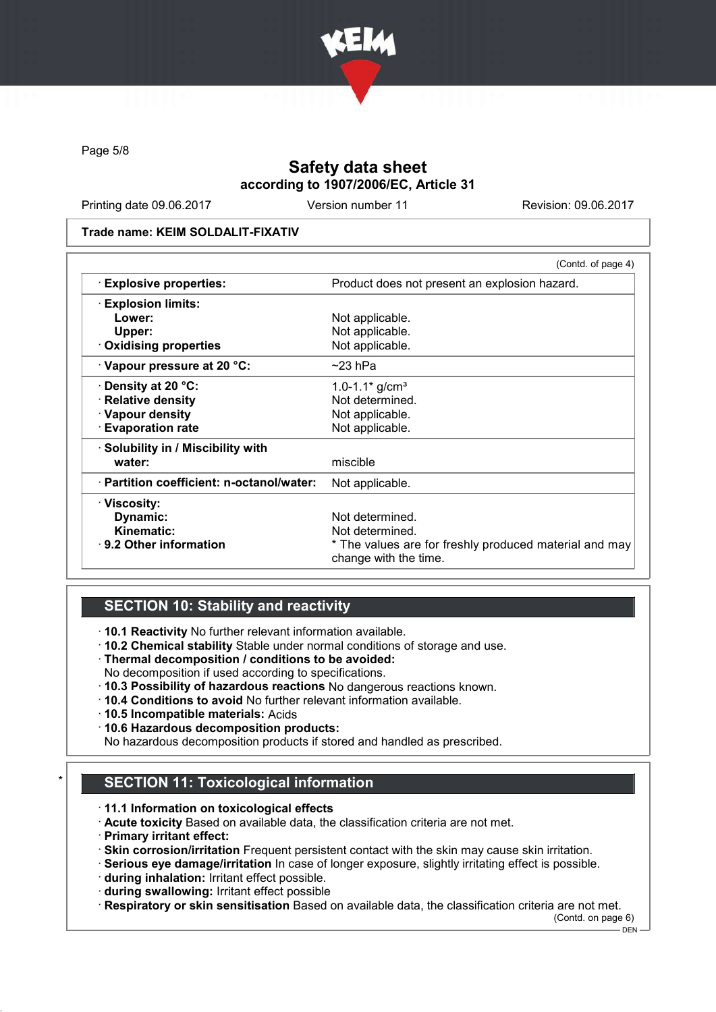

Page 5/8

# Safety data sheet according to 1907/2006/EC, Article 31

Printing date 09.06.2017 Version number 11 Revision: 09.06.2017

#### Trade name: KEIM SOLDALIT-FIXATIV

|                                           | (Contd. of page 4)                                                              |  |
|-------------------------------------------|---------------------------------------------------------------------------------|--|
| <b>Explosive properties:</b>              | Product does not present an explosion hazard.                                   |  |
| <b>Explosion limits:</b>                  |                                                                                 |  |
| Lower:                                    | Not applicable.                                                                 |  |
| Upper:                                    | Not applicable.                                                                 |  |
| <b>Oxidising properties</b>               | Not applicable.                                                                 |  |
| $\cdot$ Vapour pressure at 20 °C:         | $~23$ hPa                                                                       |  |
| $\cdot$ Density at 20 °C:                 | 1.0-1.1 $*$ g/cm <sup>3</sup>                                                   |  |
| · Relative density                        | Not determined.                                                                 |  |
| · Vapour density                          | Not applicable.                                                                 |  |
| <b>Evaporation rate</b>                   | Not applicable.                                                                 |  |
| · Solubility in / Miscibility with        |                                                                                 |  |
| water:                                    | miscible                                                                        |  |
| · Partition coefficient: n-octanol/water: | Not applicable.                                                                 |  |
| · Viscosity:                              |                                                                                 |  |
| Dynamic:                                  | Not determined.                                                                 |  |
| Kinematic:                                | Not determined.                                                                 |  |
| $\cdot$ 9.2 Other information             | * The values are for freshly produced material and may<br>change with the time. |  |

### SECTION 10: Stability and reactivity

· 10.1 Reactivity No further relevant information available.

- · 10.2 Chemical stability Stable under normal conditions of storage and use.
- · Thermal decomposition / conditions to be avoided:
- No decomposition if used according to specifications.
- · 10.3 Possibility of hazardous reactions No dangerous reactions known.
- · 10.4 Conditions to avoid No further relevant information available.
- · 10.5 Incompatible materials: Acids
- · 10.6 Hazardous decomposition products:

No hazardous decomposition products if stored and handled as prescribed.

# **SECTION 11: Toxicological information**

- · 11.1 Information on toxicological effects
- · Acute toxicity Based on available data, the classification criteria are not met.
- · Primary irritant effect:
- · Skin corrosion/irritation Frequent persistent contact with the skin may cause skin irritation.
- · Serious eye damage/irritation In case of longer exposure, slightly irritating effect is possible.
- · during inhalation: Irritant effect possible.
- · during swallowing: Irritant effect possible

· Respiratory or skin sensitisation Based on available data, the classification criteria are not met.

(Contd. on page 6)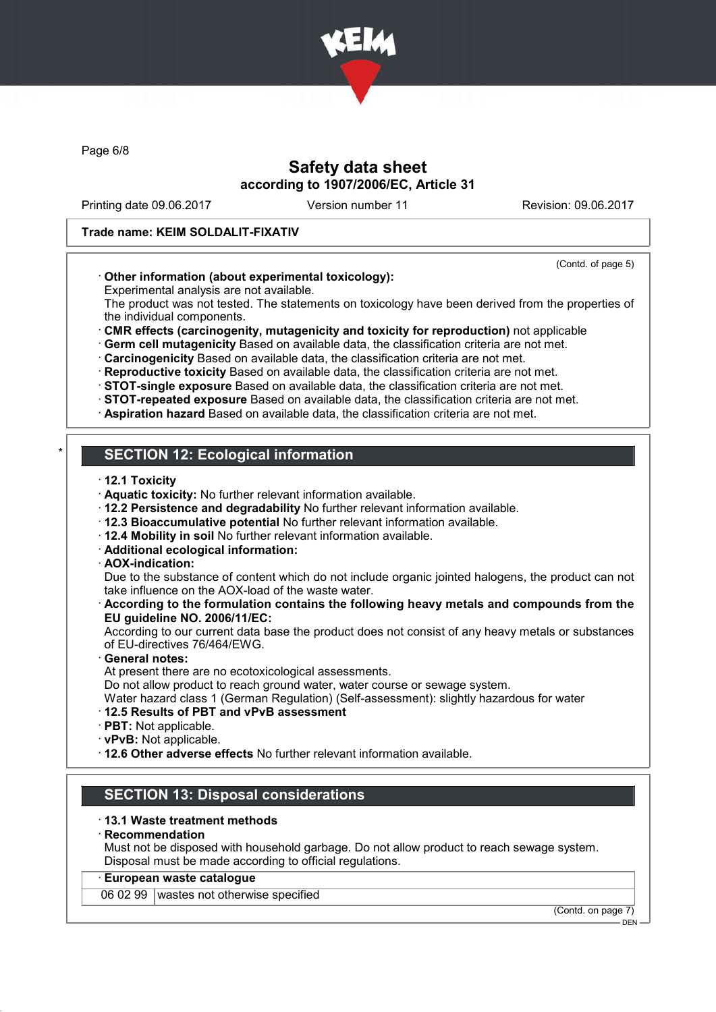

Page 6/8

## Safety data sheet according to 1907/2006/EC, Article 31

Printing date 09.06.2017 Version number 11 Revision: 09.06.2017

#### Trade name: KEIM SOLDALIT-FIXATIV

#### (Contd. of page 5)

### · Other information (about experimental toxicology):

Experimental analysis are not available.

The product was not tested. The statements on toxicology have been derived from the properties of the individual components.

· CMR effects (carcinogenity, mutagenicity and toxicity for reproduction) not applicable

· Germ cell mutagenicity Based on available data, the classification criteria are not met.

· Carcinogenicity Based on available data, the classification criteria are not met.

· Reproductive toxicity Based on available data, the classification criteria are not met.

· STOT-single exposure Based on available data, the classification criteria are not met.

· STOT-repeated exposure Based on available data, the classification criteria are not met.

· Aspiration hazard Based on available data, the classification criteria are not met.

# **SECTION 12: Ecological information**

- · 12.1 Toxicity
- · Aquatic toxicity: No further relevant information available.
- · 12.2 Persistence and degradability No further relevant information available.
- · 12.3 Bioaccumulative potential No further relevant information available.
- · 12.4 Mobility in soil No further relevant information available.
- · Additional ecological information:
- · AOX-indication:

Due to the substance of content which do not include organic jointed halogens, the product can not take influence on the AOX-load of the waste water.

#### · According to the formulation contains the following heavy metals and compounds from the EU guideline NO. 2006/11/EC:

According to our current data base the product does not consist of any heavy metals or substances of EU-directives 76/464/EWG.

General notes:

At present there are no ecotoxicological assessments.

Do not allow product to reach ground water, water course or sewage system.

Water hazard class 1 (German Regulation) (Self-assessment): slightly hazardous for water

#### · 12.5 Results of PBT and vPvB assessment

- · PBT: Not applicable.
- · vPvB: Not applicable.

· 12.6 Other adverse effects No further relevant information available.

# SECTION 13: Disposal considerations

#### · 13.1 Waste treatment methods

#### · Recommendation

Must not be disposed with household garbage. Do not allow product to reach sewage system. Disposal must be made according to official regulations.

### · European waste catalogue

06 02 99 wastes not otherwise specified

(Contd. on page 7) **DEN**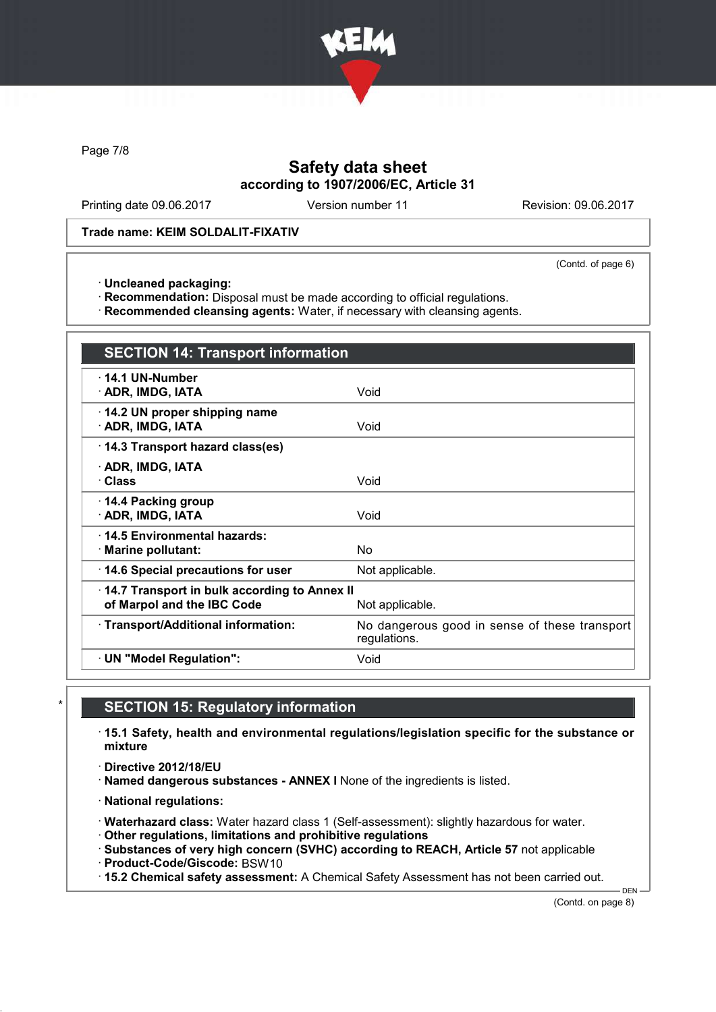

Page 7/8

# Safety data sheet according to 1907/2006/EC, Article 31

Printing date 09.06.2017 Version number 11 Revision: 09.06.2017

Trade name: KEIM SOLDALIT-FIXATIV

(Contd. of page 6)

· Uncleaned packaging:

· Recommendation: Disposal must be made according to official regulations.

· Recommended cleansing agents: Water, if necessary with cleansing agents.

| <b>SECTION 14: Transport information</b>                                                      |                                                               |  |
|-----------------------------------------------------------------------------------------------|---------------------------------------------------------------|--|
| $\cdot$ 14.1 UN-Number<br>· ADR, IMDG, IATA                                                   | Void                                                          |  |
| 14.2 UN proper shipping name<br>· ADR, IMDG, IATA                                             | Void                                                          |  |
| 14.3 Transport hazard class(es)                                                               |                                                               |  |
| · ADR, IMDG, IATA<br>· Class                                                                  | Void                                                          |  |
| 14.4 Packing group<br>· ADR, IMDG, IATA                                                       | Void                                                          |  |
| ⋅14.5 Environmental hazards:<br>· Marine pollutant:                                           | N٥                                                            |  |
| 14.6 Special precautions for user                                                             | Not applicable.                                               |  |
| 14.7 Transport in bulk according to Annex II<br>of Marpol and the IBC Code<br>Not applicable. |                                                               |  |
| · Transport/Additional information:                                                           | No dangerous good in sense of these transport<br>regulations. |  |
| · UN "Model Regulation":                                                                      | Void                                                          |  |

### **SECTION 15: Regulatory information**

· 15.1 Safety, health and environmental regulations/legislation specific for the substance or mixture

· Directive 2012/18/EU

· Named dangerous substances - ANNEX I None of the ingredients is listed.

· National regulations:

· Waterhazard class: Water hazard class 1 (Self-assessment): slightly hazardous for water.

· Other regulations, limitations and prohibitive regulations

· Substances of very high concern (SVHC) according to REACH, Article 57 not applicable

· Product-Code/Giscode: BSW10

· 15.2 Chemical safety assessment: A Chemical Safety Assessment has not been carried out.

(Contd. on page 8)

DEN